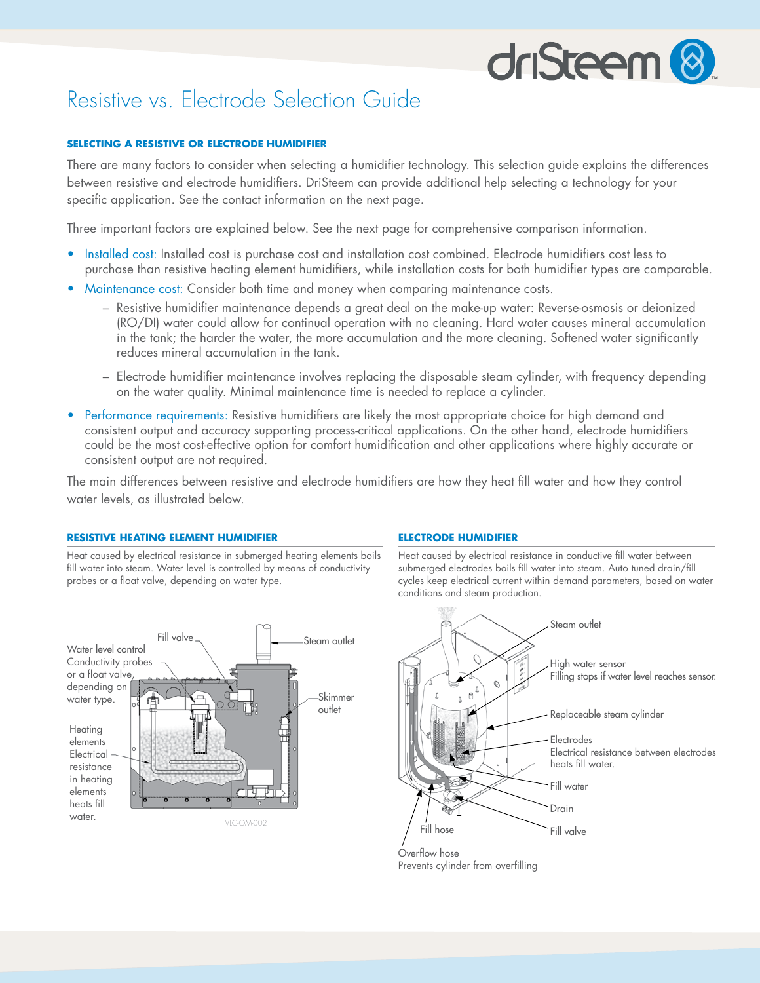# driSteem<sup>8</sup>

## Resistive vs. Electrode Selection Guide

### **SELECTING A RESISTIVE OR ELECTRODE HUMIDIFIER**

There are many factors to consider when selecting a humidifier technology. This selection guide explains the differences between resistive and electrode humidifiers. DriSteem can provide additional help selecting a technology for your specific application. See the contact information on the next page.

Three important factors are explained below. See the next page for comprehensive comparison information.

- Installed cost: Installed cost is purchase cost and installation cost combined. Electrode humidifiers cost less to purchase than resistive heating element humidifiers, while installation costs for both humidifier types are comparable.
- Maintenance cost: Consider both time and money when comparing maintenance costs.
	- Resistive humidifier maintenance depends a great deal on the make-up water: Reverse-osmosis or deionized (RO/DI) water could allow for continual operation with no cleaning. Hard water causes mineral accumulation in the tank; the harder the water, the more accumulation and the more cleaning. Softened water significantly reduces mineral accumulation in the tank.
	- Electrode humidifier maintenance involves replacing the disposable steam cylinder, with frequency depending on the water quality. Minimal maintenance time is needed to replace a cylinder.
- Performance requirements: Resistive humidifiers are likely the most appropriate choice for high demand and consistent output and accuracy supporting process-critical applications. On the other hand, electrode humidifiers could be the most cost-effective option for comfort humidification and other applications where highly accurate or consistent output are not required.

The main differences between resistive and electrode humidifiers are how they heat fill water and how they control water levels, as illustrated below.

#### **RESISTIVE HEATING ELEMENT HUMIDIFIER**

Heat caused by electrical resistance in submerged heating elements boils fill water into steam. Water level is controlled by means of conductivity probes or a float valve, depending on water type.



#### **ELECTRODE HUMIDIFIER**

Heat caused by electrical resistance in conductive fill water between submerged electrodes boils fill water into steam. Auto tuned drain/fill cycles keep electrical current within demand parameters, based on water conditions and steam production.



Prevents cylinder from overfilling